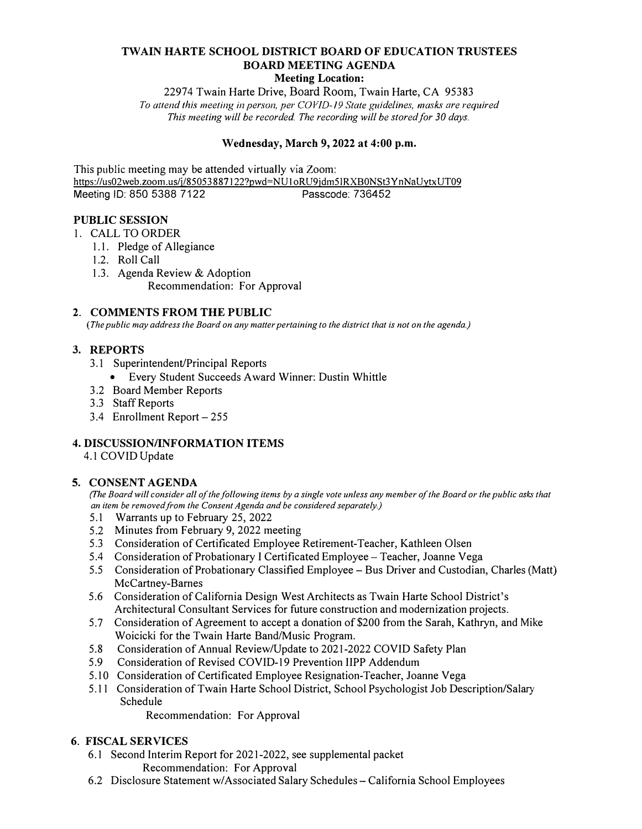# **TWAIN HARTE SCHOOL DISTRICT BOARD OF EDUCATION TRUSTEES BOARD MEETING AGENDA**

## **Meeting Location:**

22974 Twain Harte Drive, Board Room, Twain Harte, CA 95383 To attend this meeting in person, per COVID-19 State guidelines, masks are required *This meeting will be recorded The recording will be stored for 30 days.* 

### **Wednesday, March 9, 2022 at 4:00 p.m.**

This public meeting may be attended virtually via Zoom: https://us02web.zoom.us/j/85053887122?pwd=NU1oRU9jdm51RXB0NSt3YnNaUytxUT09<br>Meeting ID: 850 5388 7122 Meeting ID: 850 5388 7122

### **PUBLIC SESSION**

- I. CALL TO ORDER
	- 1.1. Pledge of Allegiance
	- 1.2. Roll Call
	- 1.3. Agenda Review & Adoption Recommendation: For Approval

### **2. COMMENTS FROM THE PUBLIC**

*(The public may address the Board on any matter pertaining to the district that is not on the agenda.)*

### **3. REPORTS**

- 3. I Superintendent/Principal Reports
	- Every Student Succeeds Award Winner: Dustin Whittle
- 3.2 Board Member Reports
- 3 .3 Staff Reports
- 3.4 Enrollment Report 255

# **4. DISCUSSION/INFORMATION ITEMS**

4.1 COVID Update

# **5. CONSENT AGENDA**

*(The Board will consider all of the following items by a single vote unless any member of the Board or the public asks that an item be removed from the Consent Agenda and be considered separately.)*

- 5.1 Warrants up to February 25, 2022
- 5.2 Minutes from February 9, 2022 meeting
- 5.3 Consideration of Certificated Employee Retirement-Teacher, Kathleen Olsen
- 5.4 Consideration of Probationary I Certificated Employee Teacher, Joanne Vega
- 5.5 Consideration of Probationary Classified Employee Bus Driver and Custodian, Charles (Matt) McCartney-Barnes
- 5.6 Consideration of California Design West Architects as Twain Harte School District's Architectural Consultant Services for future construction and modernization projects.
- 5.7 Consideration of Agreement to accept a donation of \$200 from the Sarah, Kathryn, and Mike Woicicki for the Twain Harte Band/Music Program.
- 5.8 Consideration of Annual Review/Update to 2021-2022 COVID Safety Plan
- 5.9 Consideration of Revised COVID-19 Prevention IIPP Addendum
- 5.10 Consideration of Certificated Employee Resignation-Teacher, Joanne Vega
- 5.11 Consideration of Twain Harte School District, School Psychologist Job Description/Salary Schedule

Recommendation: For Approval

# **6. FISCAL SERVICES**

- 6.1 Second Interim Report for 2021-2022, see supplemental packet Recommendation: For Approval
- 6.2 Disclosure Statement w/Associated Salary Schedules California School Employees